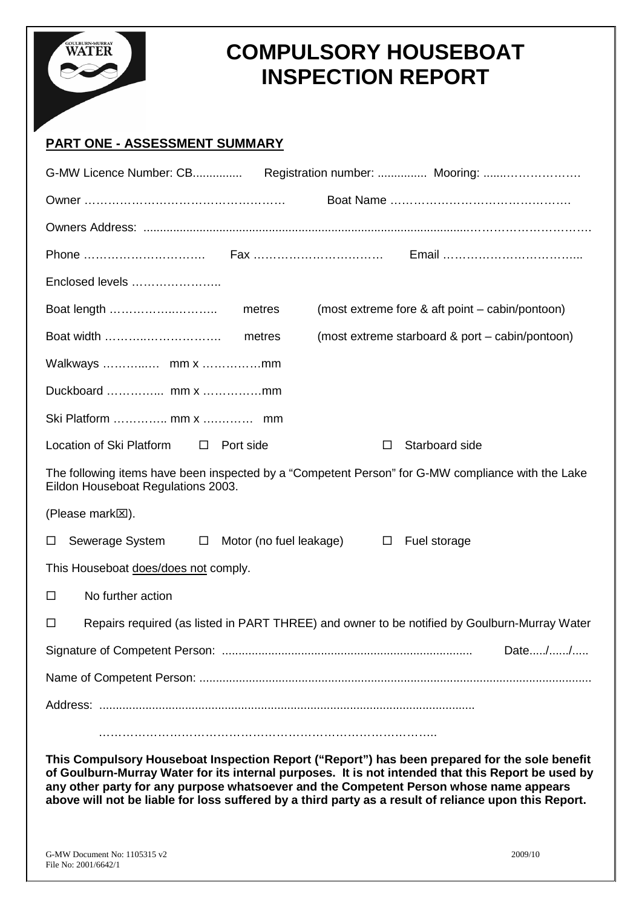

# **COMPULSORY HOUSEBOAT INSPECTION REPORT**

# **PART ONE - ASSESSMENT SUMMARY**

| Enclosed levels                                                                                                                                                                                     |
|-----------------------------------------------------------------------------------------------------------------------------------------------------------------------------------------------------|
| (most extreme fore & aft point – cabin/pontoon)                                                                                                                                                     |
| (most extreme starboard & port – cabin/pontoon)                                                                                                                                                     |
|                                                                                                                                                                                                     |
|                                                                                                                                                                                                     |
|                                                                                                                                                                                                     |
| Location of Ski Platform<br>Starboard side<br>Port side<br>$\Box$<br>□                                                                                                                              |
| The following items have been inspected by a "Competent Person" for G-MW compliance with the Lake<br>Eildon Houseboat Regulations 2003.                                                             |
| (Please mark <sup>[X]</sup> ).                                                                                                                                                                      |
| Sewerage System<br>Motor (no fuel leakage)<br>$\Box$<br>Fuel storage<br>$\Box$<br>$\Box$                                                                                                            |
| This Houseboat does/does not comply.                                                                                                                                                                |
| No further action<br>□                                                                                                                                                                              |
| Repairs required (as listed in PART THREE) and owner to be notified by Goulburn-Murray Water<br>□                                                                                                   |
| Date//                                                                                                                                                                                              |
|                                                                                                                                                                                                     |
|                                                                                                                                                                                                     |
|                                                                                                                                                                                                     |
| This Compulsory Houseboat Inspection Report ("Report") has been prepared for the sole benefit<br>of Goulburn-Murray Water for its internal purposes. It is not intended that this Report be used by |

**any other party for any purpose whatsoever and the Competent Person whose name appears above will not be liable for loss suffered by a third party as a result of reliance upon this Report.**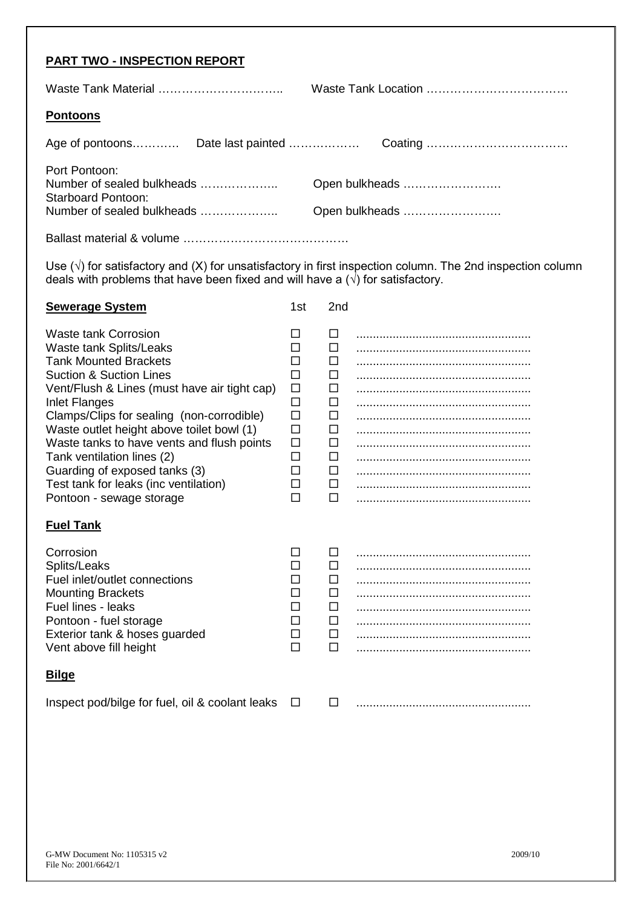|--|

Waste Tank Material …………………………………… Waste Tank Location ……………………………………

#### **Pontoons**

| Port Pontoon:<br>Number of sealed bulkheads             |                | Open bulkheads |  |
|---------------------------------------------------------|----------------|----------------|--|
| <b>Starboard Pontoon:</b><br>Number of sealed bulkheads | Open bulkheads |                |  |
|                                                         |                |                |  |

Ballast material & volume ……………………………………

Use (√) for satisfactory and (X) for unsatisfactory in first inspection column. The 2nd inspection column deals with problems that have been fixed and will have a (√) for satisfactory.

| <b>Sewerage System</b>                                                                                                                                                                                                                                                                                                                                                                                                                                                    | 1st                                                                                          | 2nd                                                                                               |  |
|---------------------------------------------------------------------------------------------------------------------------------------------------------------------------------------------------------------------------------------------------------------------------------------------------------------------------------------------------------------------------------------------------------------------------------------------------------------------------|----------------------------------------------------------------------------------------------|---------------------------------------------------------------------------------------------------|--|
| Waste tank Corrosion<br><b>Waste tank Splits/Leaks</b><br><b>Tank Mounted Brackets</b><br><b>Suction &amp; Suction Lines</b><br>Vent/Flush & Lines (must have air tight cap)<br>Inlet Flanges<br>Clamps/Clips for sealing (non-corrodible)<br>Waste outlet height above toilet bowl (1)<br>Waste tanks to have vents and flush points<br>Tank ventilation lines (2)<br>Guarding of exposed tanks (3)<br>Test tank for leaks (inc ventilation)<br>Pontoon - sewage storage | П<br>П<br>ΙI<br>П<br>$\Box$<br>$\Box$<br>$\Box$<br>□<br>$\Box$<br>$\Box$<br>□<br>□<br>$\Box$ | □<br>П<br>$\mathcal{L}_{\mathcal{A}}$<br>П<br>$\Box$<br>□<br>□<br>□<br>□<br>□<br>□<br>□<br>$\Box$ |  |
| <b>Fuel Tank</b>                                                                                                                                                                                                                                                                                                                                                                                                                                                          |                                                                                              |                                                                                                   |  |
| Corrosion<br>Splits/Leaks<br>Fuel inlet/outlet connections<br><b>Mounting Brackets</b><br>Fuel lines - leaks<br>Pontoon - fuel storage<br>Exterior tank & hoses guarded<br>Vent above fill height                                                                                                                                                                                                                                                                         | ш<br>П<br>П<br>П<br>□<br>□<br>□<br>$\Box$                                                    | ш<br>П<br>П<br>$\Box$<br>$\Box$<br>□<br>□<br>$\Box$                                               |  |
| <u>Bilge</u>                                                                                                                                                                                                                                                                                                                                                                                                                                                              |                                                                                              |                                                                                                   |  |
| Inspect pod/bilge for fuel, oil & coolant leaks                                                                                                                                                                                                                                                                                                                                                                                                                           | $\Box$                                                                                       | □                                                                                                 |  |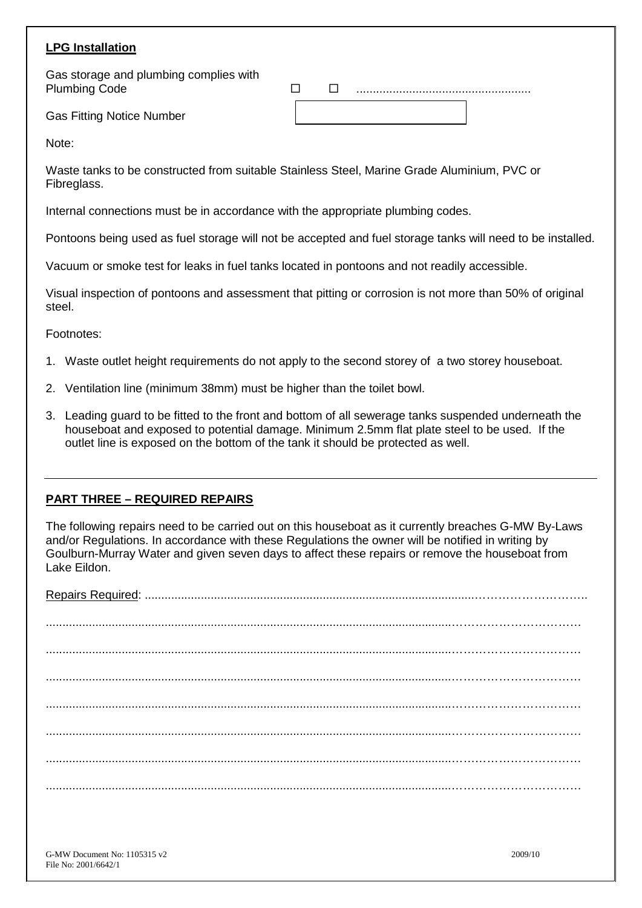# **LPG Installation**

Gas Fitting Notice Number

Gas storage and plumbing complies with Plumbing Code **Discriming Code** 

Note:

Waste tanks to be constructed from suitable Stainless Steel, Marine Grade Aluminium, PVC or Fibreglass.

Internal connections must be in accordance with the appropriate plumbing codes.

Pontoons being used as fuel storage will not be accepted and fuel storage tanks will need to be installed.

Vacuum or smoke test for leaks in fuel tanks located in pontoons and not readily accessible.

Visual inspection of pontoons and assessment that pitting or corrosion is not more than 50% of original steel.

Footnotes:

- 1. Waste outlet height requirements do not apply to the second storey of a two storey houseboat.
- 2. Ventilation line (minimum 38mm) must be higher than the toilet bowl.
- 3. Leading guard to be fitted to the front and bottom of all sewerage tanks suspended underneath the houseboat and exposed to potential damage. Minimum 2.5mm flat plate steel to be used. If the outlet line is exposed on the bottom of the tank it should be protected as well.

#### **PART THREE – REQUIRED REPAIRS**

The following repairs need to be carried out on this houseboat as it currently breaches G-MW By-Laws and/or Regulations. In accordance with these Regulations the owner will be notified in writing by Goulburn-Murray Water and given seven days to affect these repairs or remove the houseboat from Lake Eildon.